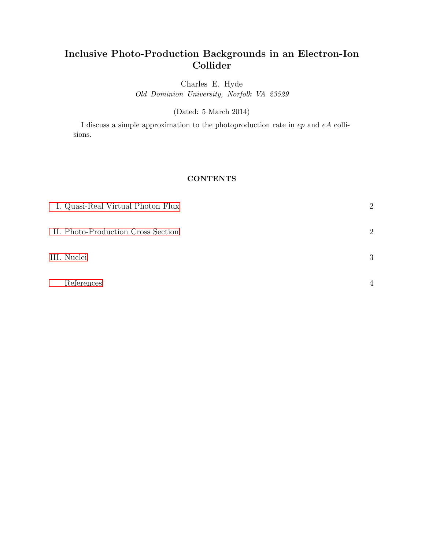# Inclusive Photo-Production Backgrounds in an Electron-Ion Collider

Charles E. Hyde

Old Dominion University, Norfolk VA 23529

(Dated: 5 March 2014)

I discuss a simple approximation to the photoproduction rate in ep and eA collisions.

# **CONTENTS**

| I. Quasi-Real Virtual Photon Flux  | $\overline{2}$ |
|------------------------------------|----------------|
| II. Photo-Production Cross Section | $\overline{2}$ |
| III. Nuclei                        | 3              |
| References                         | $\overline{4}$ |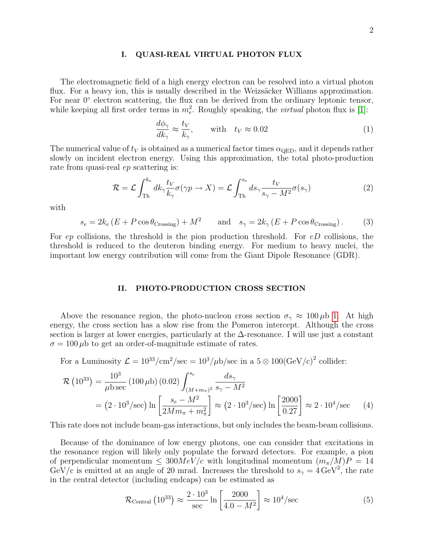## <span id="page-1-0"></span>I. QUASI-REAL VIRTUAL PHOTON FLUX

The electromagnetic field of a high energy electron can be resolved into a virtual photon flux. For a heavy ion, this is usually described in the Weizsäcker Williams approximation. For near 0° electron scattering, the flux can be derived from the ordinary leptonic tensor, while keeping all first order terms in  $m_e^2$ . Roughly speaking, the *virtual* photon flux is [\[1\]](#page-3-1):

$$
\frac{d\phi_{\gamma}}{dk_{\gamma}} \approx \frac{t_V}{k_{\gamma}}, \quad \text{with} \quad t_V \approx 0.02 \tag{1}
$$

The numerical value of  $t_V$  is obtained as a numerical factor times  $\alpha_{\rm OED}$ , and it depends rather slowly on incident electron energy. Using this approximation, the total photo-production rate from quasi-real ep scattering is:

$$
\mathcal{R} = \mathcal{L} \int_{\text{Th}}^{k_e} dk_{\gamma} \frac{t_V}{k_{\gamma}} \sigma(\gamma p \to X) = \mathcal{L} \int_{\text{Th}}^{s_e} ds_{\gamma} \frac{t_V}{s_{\gamma} - M^2} \sigma(s_{\gamma}) \tag{2}
$$

with

$$
s_e = 2k_e (E + P \cos \theta_{\text{Crossing}}) + M^2 \quad \text{and} \quad s_\gamma = 2k_\gamma (E + P \cos \theta_{\text{Crossing}}). \tag{3}
$$

For  $ep$  collisions, the threshold is the pion production threshold. For  $eD$  collisions, the threshold is reduced to the deuteron binding energy. For medium to heavy nuclei, the important low energy contribution will come from the Giant Dipole Resonance (GDR).

### <span id="page-1-1"></span>II. PHOTO-PRODUCTION CROSS SECTION

Above the resonance region, the photo-nucleon cross section  $\sigma_{\gamma} \approx 100 \,\mu b$  [1.](#page-2-1) At high energy, the cross section has a slow rise from the Pomeron intercept. Although the cross section is larger at lower energies, particularly at the  $\Delta$ -resonance. I will use just a constant  $\sigma = 100 \,\mu b$  to get an order-of-magnitude estimate of rates.

For a Luminosity 
$$
\mathcal{L} = 10^{33}/\text{cm}^2/\text{sec} = 10^3/\mu\text{b}/\text{sec}
$$
 in a  $5 \otimes 100(\text{GeV/c})^2$  collider:

$$
\mathcal{R} (10^{33}) = \frac{10^3}{\mu \text{b sec}} (100 \,\mu\text{b}) (0.02) \int_{(M+m_{\pi})^2}^{s_e} \frac{ds_{\gamma}}{s_{\gamma} - M^2}
$$
  
=  $(2 \cdot 10^3/\text{sec}) \ln \left[ \frac{s_e - M^2}{2Mm_{\pi} + m_{\pi}^2} \right] \approx (2 \cdot 10^3/\text{sec}) \ln \left[ \frac{2000}{0.27} \right] \approx 2 \cdot 10^4/\text{sec}$  (4)

This rate does not include beam-gas interactions, but only includes the beam-beam collisions.

Because of the dominance of low energy photons, one can consider that excitations in the resonance region will likely only populate the forward detectors. For example, a pion of perpendicular momentum  $\leq 300MeV/c$  with longitudinal momentum  $(m_{\pi}/M)P = 14$ GeV/c is emitted at an angle of 20 mrad. Increases the threshold to  $s<sub>\gamma</sub> = 4 \text{ GeV}^2$ , the rate in the central detector (including endcaps) can be estimated as

$$
\mathcal{R}_{\text{Central}}\left(10^{33}\right) \approx \frac{2 \cdot 10^3}{\text{sec}} \ln \left[\frac{2000}{4.0 - M^2}\right] \approx 10^4/\text{sec}
$$
 (5)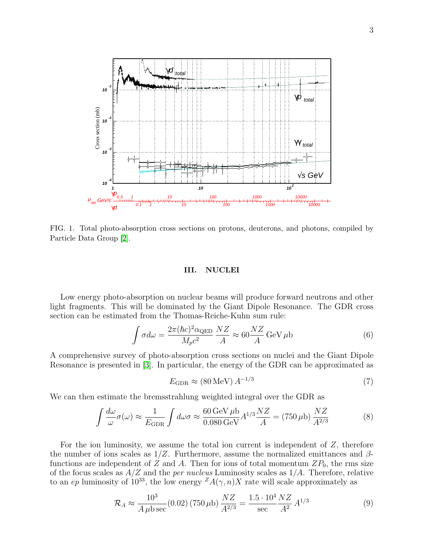

<span id="page-2-1"></span>FIG. 1. Total photo-absorption cross sections on protons, deuterons, and photons, compiled by Particle Data Group [\[2\]](#page-3-2).

### <span id="page-2-0"></span>III. NUCLEI

Low energy photo-absorption on nuclear beams will produce forward neutrons and other light fragments. This will be dominated by the Giant Dipole Resonance. The GDR cross section can be estimated from the Thomas-Reiche-Kuhn sum rule:

$$
\int \sigma d\omega = \frac{2\pi (\hbar c)^2 \alpha_{\text{QED}}}{M_p c^2} \frac{NZ}{A} \approx 60 \frac{NZ}{A} \,\text{GeV} \,\mu\text{b} \tag{6}
$$

A comprehensive survey of photo-absorption cross sections on nuclei and the Giant Dipole Resonance is presented in [\[3\]](#page-3-3). In particular, the energy of the GDR can be approximated as

$$
E_{\rm GDR} \approx (80 \,\text{MeV}) \, A^{-1/3} \tag{7}
$$

We can then estimate the bremsstrahlung weighted integral over the GDR as

$$
\int \frac{d\omega}{\omega} \sigma(\omega) \approx \frac{1}{E_{\text{GDR}}} \int d\omega \sigma \approx \frac{60 \,\text{GeV} \,\mu\text{b}}{0.080 \,\text{GeV}} A^{1/3} \frac{NZ}{A} = (750 \,\mu\text{b}) \frac{NZ}{A^{2/3}} \tag{8}
$$

For the ion luminosity, we assume the total ion current is independent of  $Z$ , therefore the number of ions scales as  $1/Z$ . Furthermore, assume the normalized emittances and  $\beta$ functions are independent of Z and A. Then for ions of total momentum  $ZP_0$ , the rms size of the focus scales as  $A/Z$  and the *per nucleus* Luminosity scales as  $1/A$ . Therefore, relative to an ep luminosity of 10<sup>33</sup>, the low energy  $^ZA(\gamma, n)X$  rate will scale approximately as

$$
\mathcal{R}_A \approx \frac{10^3}{A \,\mu \text{b} \sec}(0.02)(750 \,\mu \text{b}) \frac{NZ}{A^{2/3}} = \frac{1.5 \cdot 10^4}{\sec} \frac{NZ}{A^2} \, A^{1/3} \tag{9}
$$